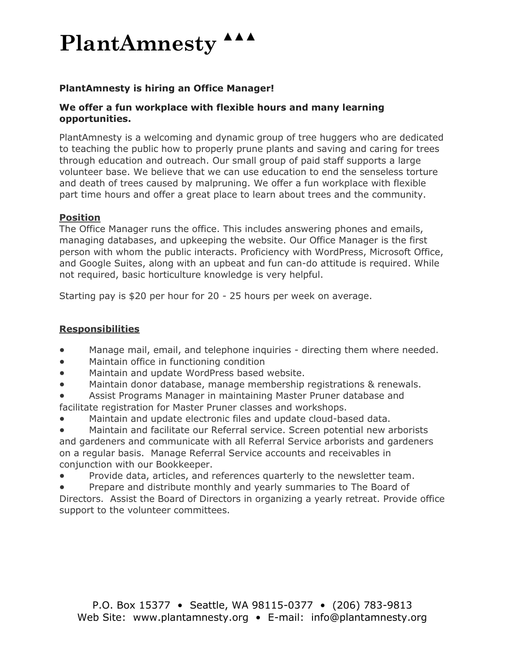## **PlantAmnesty**

## **PlantAmnesty is hiring an Office Manager!**

#### **We offer a fun workplace with flexible hours and many learning opportunities.**

PlantAmnesty is a welcoming and dynamic group of tree huggers who are dedicated to teaching the public how to properly prune plants and saving and caring for trees through education and outreach. Our small group of paid staff supports a large volunteer base. We believe that we can use education to end the senseless torture and death of trees caused by malpruning. We offer a fun workplace with flexible part time hours and offer a great place to learn about trees and the community.

### **Position**

The Office Manager runs the office. This includes answering phones and emails, managing databases, and upkeeping the website. Our Office Manager is the first person with whom the public interacts. Proficiency with WordPress, Microsoft Office, and Google Suites, along with an upbeat and fun can-do attitude is required. While not required, basic horticulture knowledge is very helpful.

Starting pay is \$20 per hour for 20 - 25 hours per week on average.

## **Responsibilities**

- Manage mail, email, and telephone inquiries directing them where needed.
- Maintain office in functioning condition
- Maintain and update WordPress based website.
- Maintain donor database, manage membership registrations & renewals.
- Assist Programs Manager in maintaining Master Pruner database and facilitate registration for Master Pruner classes and workshops.
- Maintain and update electronic files and update cloud-based data.
- Maintain and facilitate our Referral service. Screen potential new arborists and gardeners and communicate with all Referral Service arborists and gardeners on a regular basis. Manage Referral Service accounts and receivables in conjunction with our Bookkeeper.
- Provide data, articles, and references quarterly to the newsletter team.
- Prepare and distribute monthly and yearly summaries to The Board of

Directors. Assist the Board of Directors in organizing a yearly retreat. Provide office support to the volunteer committees.